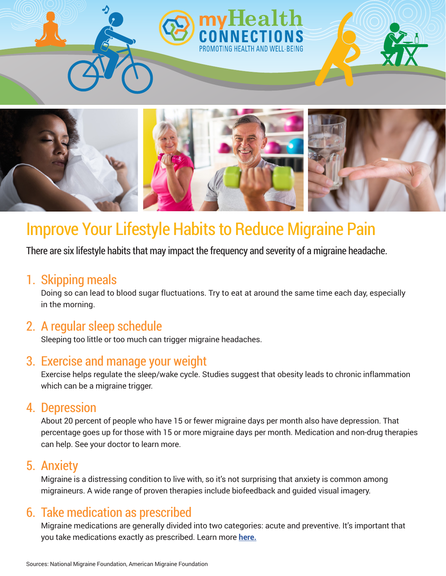

# Improve Your Lifestyle Habits to Reduce Migraine Pain

There are six lifestyle habits that may impact the frequency and severity of a migraine headache.

#### 1. Skipping meals

Doing so can lead to blood sugar fluctuations. Try to eat at around the same time each day, especially in the morning.

## 2. A regular sleep schedule

Sleeping too little or too much can trigger migraine headaches.

## 3. Exercise and manage your weight

Exercise helps regulate the sleep/wake cycle. Studies suggest that obesity leads to chronic inflammation which can be a migraine trigger.

### 4. Depression

About 20 percent of people who have 15 or fewer migraine days per month also have depression. That percentage goes up for those with 15 or more migraine days per month. Medication and non-drug therapies can help. See your doctor to learn more.

## 5. Anxiety

Migraine is a distressing condition to live with, so it's not surprising that anxiety is common among migraineurs. A wide range of proven therapies include biofeedback and guided visual imagery.

## 6. Take medication as prescribed

Migraine medications are generally divided into two categories: acute and preventive. It's important that you take medications exactly as prescribed. Learn more **[here.](https://americanmigrainefoundation.org/resource-library/understanding-migraine-medications/)**